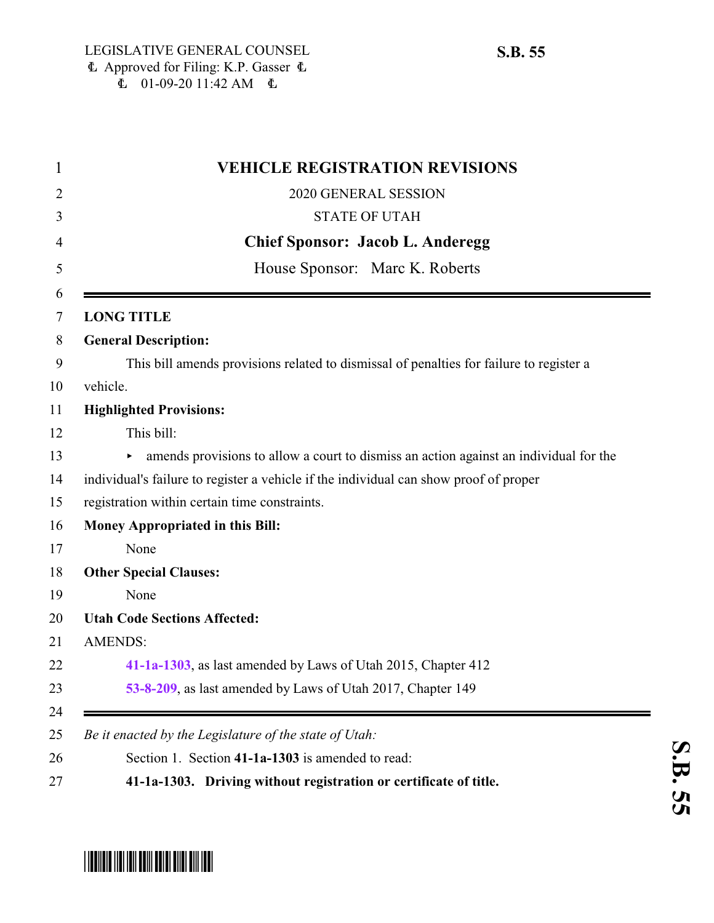| <b>VEHICLE REGISTRATION REVISIONS</b>                                                   |
|-----------------------------------------------------------------------------------------|
| 2020 GENERAL SESSION                                                                    |
| <b>STATE OF UTAH</b>                                                                    |
| <b>Chief Sponsor: Jacob L. Anderegg</b>                                                 |
| House Sponsor: Marc K. Roberts                                                          |
| <b>LONG TITLE</b>                                                                       |
| <b>General Description:</b>                                                             |
| This bill amends provisions related to dismissal of penalties for failure to register a |
| vehicle.                                                                                |
| <b>Highlighted Provisions:</b>                                                          |
| This bill:                                                                              |
| amends provisions to allow a court to dismiss an action against an individual for the   |
| individual's failure to register a vehicle if the individual can show proof of proper   |
| registration within certain time constraints.                                           |
| Money Appropriated in this Bill:                                                        |
| None                                                                                    |
| <b>Other Special Clauses:</b>                                                           |
| None                                                                                    |
| <b>Utah Code Sections Affected:</b>                                                     |
| <b>AMENDS:</b>                                                                          |
| 41-1a-1303, as last amended by Laws of Utah 2015, Chapter 412                           |
| 53-8-209, as last amended by Laws of Utah 2017, Chapter 149                             |
| Be it enacted by the Legislature of the state of Utah:                                  |
| Section 1. Section 41-1a-1303 is amended to read:                                       |
| 41-1a-1303. Driving without registration or certificate of title.                       |

## <span id="page-0-0"></span>\*SB0055\*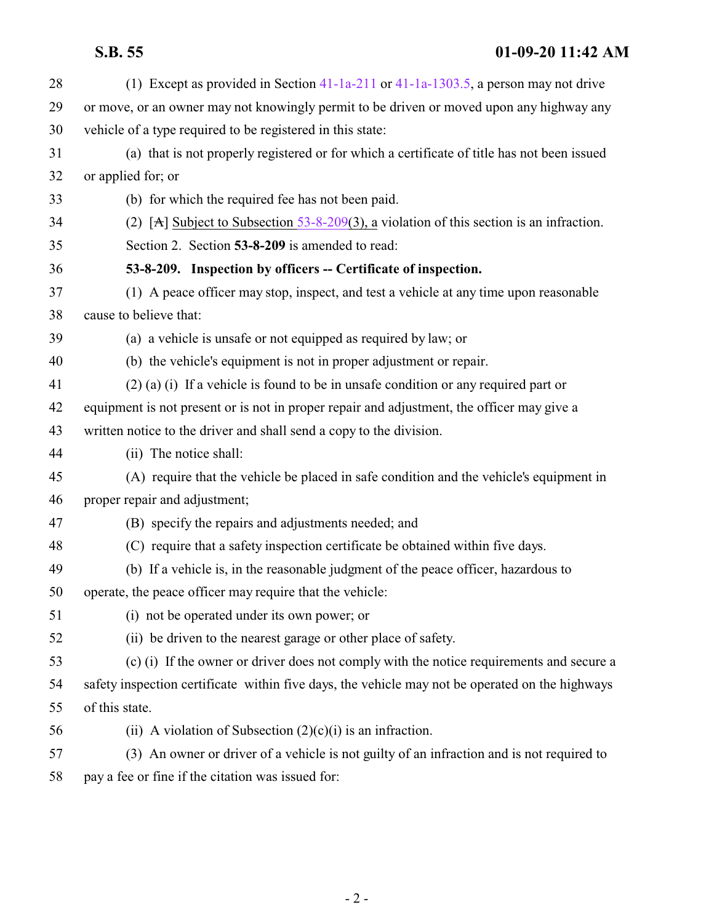<span id="page-1-0"></span>

| 28 | (1) Except as provided in Section 41-1a-211 or 41-1a-1303.5, a person may not drive             |
|----|-------------------------------------------------------------------------------------------------|
| 29 | or move, or an owner may not knowingly permit to be driven or moved upon any highway any        |
| 30 | vehicle of a type required to be registered in this state:                                      |
| 31 | (a) that is not properly registered or for which a certificate of title has not been issued     |
| 32 | or applied for; or                                                                              |
| 33 | (b) for which the required fee has not been paid.                                               |
| 34 | (2) [A] Subject to Subsection $53-8-209(3)$ , a violation of this section is an infraction.     |
| 35 | Section 2. Section 53-8-209 is amended to read:                                                 |
| 36 | 53-8-209. Inspection by officers -- Certificate of inspection.                                  |
| 37 | (1) A peace officer may stop, inspect, and test a vehicle at any time upon reasonable           |
| 38 | cause to believe that:                                                                          |
| 39 | (a) a vehicle is unsafe or not equipped as required by law; or                                  |
| 40 | (b) the vehicle's equipment is not in proper adjustment or repair.                              |
| 41 | $(2)$ (a) (i) If a vehicle is found to be in unsafe condition or any required part or           |
| 42 | equipment is not present or is not in proper repair and adjustment, the officer may give a      |
| 43 | written notice to the driver and shall send a copy to the division.                             |
| 44 | (ii) The notice shall:                                                                          |
| 45 | (A) require that the vehicle be placed in safe condition and the vehicle's equipment in         |
| 46 | proper repair and adjustment;                                                                   |
| 47 | (B) specify the repairs and adjustments needed; and                                             |
| 48 | (C) require that a safety inspection certificate be obtained within five days.                  |
| 49 | (b) If a vehicle is, in the reasonable judgment of the peace officer, hazardous to              |
| 50 | operate, the peace officer may require that the vehicle:                                        |
| 51 | (i) not be operated under its own power; or                                                     |
| 52 | (ii) be driven to the nearest garage or other place of safety.                                  |
| 53 | (c) (i) If the owner or driver does not comply with the notice requirements and secure a        |
| 54 | safety inspection certificate within five days, the vehicle may not be operated on the highways |
| 55 | of this state.                                                                                  |
| 56 | (ii) A violation of Subsection $(2)(c)(i)$ is an infraction.                                    |
| 57 | (3) An owner or driver of a vehicle is not guilty of an infraction and is not required to       |
| 50 | for an fine if the oitation was issued for                                                      |

pay a fee or fine if the citation was issued for: